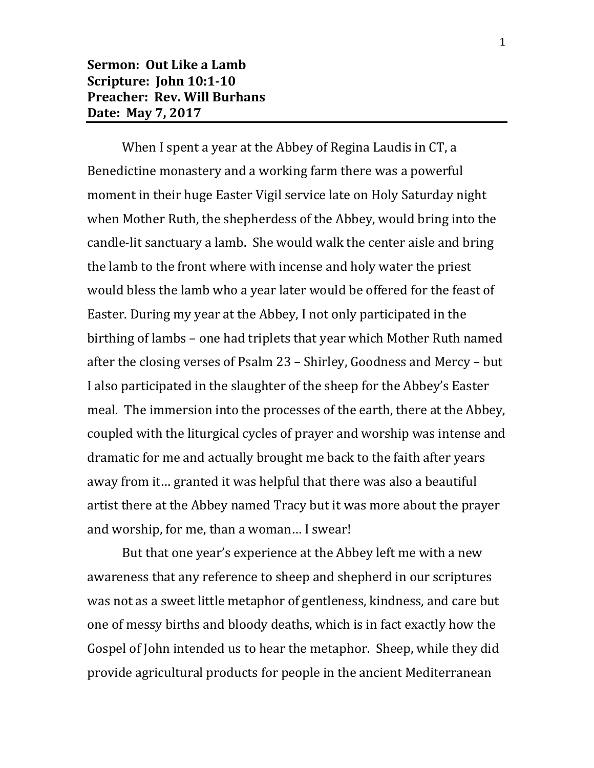When I spent a year at the Abbey of Regina Laudis in CT, a Benedictine monastery and a working farm there was a powerful moment in their huge Easter Vigil service late on Holy Saturday night when Mother Ruth, the shepherdess of the Abbey, would bring into the candle-lit sanctuary a lamb. She would walk the center aisle and bring the lamb to the front where with incense and holy water the priest would bless the lamb who a year later would be offered for the feast of Easter. During my year at the Abbey, I not only participated in the birthing of lambs – one had triplets that year which Mother Ruth named after the closing verses of Psalm 23 – Shirley, Goodness and Mercy – but I also participated in the slaughter of the sheep for the Abbey's Easter meal. The immersion into the processes of the earth, there at the Abbey, coupled with the liturgical cycles of prayer and worship was intense and dramatic for me and actually brought me back to the faith after years away from it… granted it was helpful that there was also a beautiful artist there at the Abbey named Tracy but it was more about the prayer and worship, for me, than a woman… I swear!

But that one year's experience at the Abbey left me with a new awareness that any reference to sheep and shepherd in our scriptures was not as a sweet little metaphor of gentleness, kindness, and care but one of messy births and bloody deaths, which is in fact exactly how the Gospel of John intended us to hear the metaphor. Sheep, while they did provide agricultural products for people in the ancient Mediterranean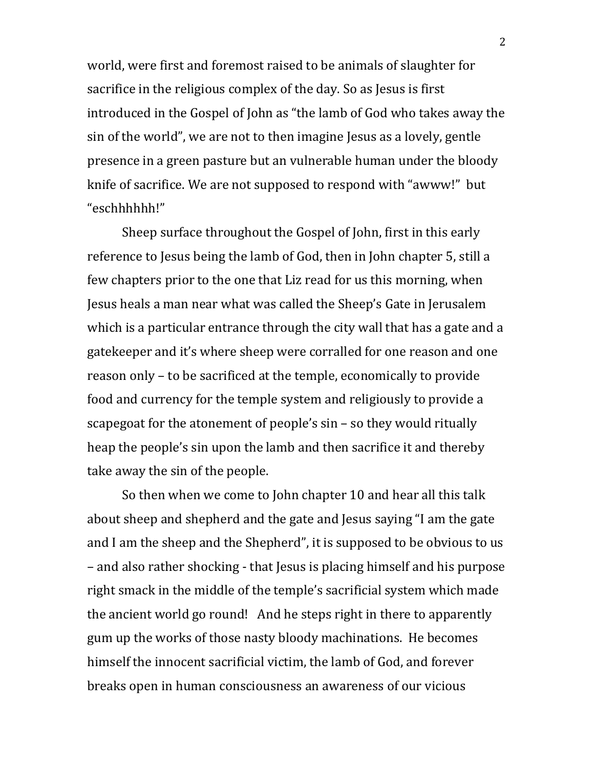world, were first and foremost raised to be animals of slaughter for sacrifice in the religious complex of the day. So as Jesus is first introduced in the Gospel of John as "the lamb of God who takes away the sin of the world", we are not to then imagine Jesus as a lovely, gentle presence in a green pasture but an vulnerable human under the bloody knife of sacrifice. We are not supposed to respond with "awww!" but "eschhhhhh!"

Sheep surface throughout the Gospel of John, first in this early reference to Jesus being the lamb of God, then in John chapter 5, still a few chapters prior to the one that Liz read for us this morning, when Jesus heals a man near what was called the Sheep's Gate in Jerusalem which is a particular entrance through the city wall that has a gate and a gatekeeper and it's where sheep were corralled for one reason and one reason only – to be sacrificed at the temple, economically to provide food and currency for the temple system and religiously to provide a scapegoat for the atonement of people's sin – so they would ritually heap the people's sin upon the lamb and then sacrifice it and thereby take away the sin of the people.

So then when we come to John chapter 10 and hear all this talk about sheep and shepherd and the gate and Jesus saying "I am the gate and I am the sheep and the Shepherd", it is supposed to be obvious to us – and also rather shocking - that Jesus is placing himself and his purpose right smack in the middle of the temple's sacrificial system which made the ancient world go round! And he steps right in there to apparently gum up the works of those nasty bloody machinations. He becomes himself the innocent sacrificial victim, the lamb of God, and forever breaks open in human consciousness an awareness of our vicious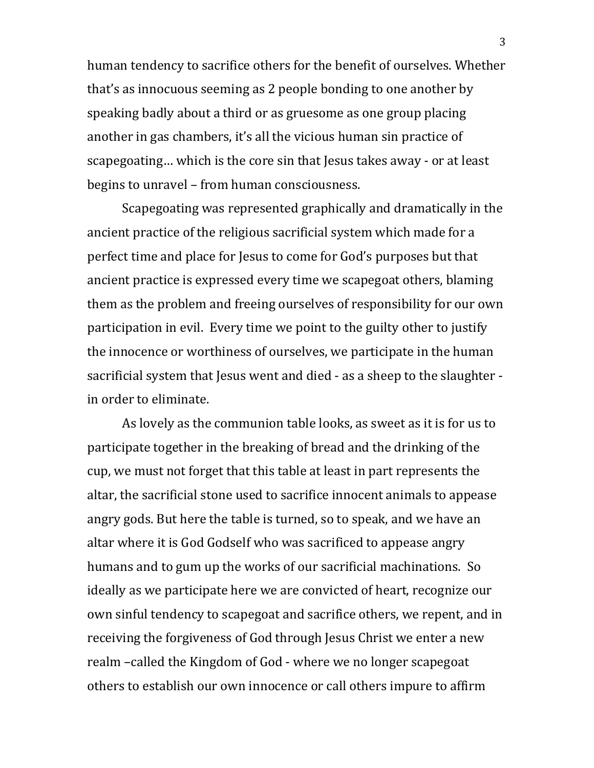human tendency to sacrifice others for the benefit of ourselves. Whether that's as innocuous seeming as 2 people bonding to one another by speaking badly about a third or as gruesome as one group placing another in gas chambers, it's all the vicious human sin practice of scapegoating… which is the core sin that Jesus takes away - or at least begins to unravel – from human consciousness.

Scapegoating was represented graphically and dramatically in the ancient practice of the religious sacrificial system which made for a perfect time and place for Jesus to come for God's purposes but that ancient practice is expressed every time we scapegoat others, blaming them as the problem and freeing ourselves of responsibility for our own participation in evil. Every time we point to the guilty other to justify the innocence or worthiness of ourselves, we participate in the human sacrificial system that Jesus went and died - as a sheep to the slaughter in order to eliminate.

As lovely as the communion table looks, as sweet as it is for us to participate together in the breaking of bread and the drinking of the cup, we must not forget that this table at least in part represents the altar, the sacrificial stone used to sacrifice innocent animals to appease angry gods. But here the table is turned, so to speak, and we have an altar where it is God Godself who was sacrificed to appease angry humans and to gum up the works of our sacrificial machinations. So ideally as we participate here we are convicted of heart, recognize our own sinful tendency to scapegoat and sacrifice others, we repent, and in receiving the forgiveness of God through Jesus Christ we enter a new realm –called the Kingdom of God - where we no longer scapegoat others to establish our own innocence or call others impure to affirm